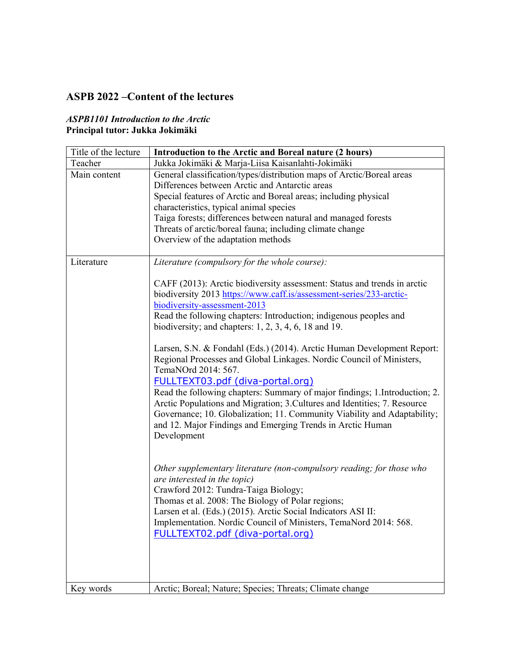### **ASPB 2022 –Content of the lectures**

#### *ASPB1101 Introduction to the Arctic*  **Principal tutor: Jukka Jokimäki**

| Title of the lecture | Introduction to the Arctic and Boreal nature (2 hours)                                                                                                                                                                                                                                                                                                                                                                                                                                                                                                                                                                                                                                                                                                                                                                                                                                                                                                                                                                                                                                                                                                                                                                                  |
|----------------------|-----------------------------------------------------------------------------------------------------------------------------------------------------------------------------------------------------------------------------------------------------------------------------------------------------------------------------------------------------------------------------------------------------------------------------------------------------------------------------------------------------------------------------------------------------------------------------------------------------------------------------------------------------------------------------------------------------------------------------------------------------------------------------------------------------------------------------------------------------------------------------------------------------------------------------------------------------------------------------------------------------------------------------------------------------------------------------------------------------------------------------------------------------------------------------------------------------------------------------------------|
| Teacher              | Jukka Jokimäki & Marja-Liisa Kaisanlahti-Jokimäki                                                                                                                                                                                                                                                                                                                                                                                                                                                                                                                                                                                                                                                                                                                                                                                                                                                                                                                                                                                                                                                                                                                                                                                       |
| Main content         | General classification/types/distribution maps of Arctic/Boreal areas<br>Differences between Arctic and Antarctic areas<br>Special features of Arctic and Boreal areas; including physical<br>characteristics, typical animal species<br>Taiga forests; differences between natural and managed forests<br>Threats of arctic/boreal fauna; including climate change<br>Overview of the adaptation methods                                                                                                                                                                                                                                                                                                                                                                                                                                                                                                                                                                                                                                                                                                                                                                                                                               |
| Literature           | Literature (compulsory for the whole course):                                                                                                                                                                                                                                                                                                                                                                                                                                                                                                                                                                                                                                                                                                                                                                                                                                                                                                                                                                                                                                                                                                                                                                                           |
|                      | CAFF (2013): Arctic biodiversity assessment: Status and trends in arctic<br>biodiversity 2013 https://www.caff.is/assessment-series/233-arctic-<br>biodiversity-assessment-2013<br>Read the following chapters: Introduction; indigenous peoples and<br>biodiversity; and chapters: $1, 2, 3, 4, 6, 18$ and 19.<br>Larsen, S.N. & Fondahl (Eds.) (2014). Arctic Human Development Report:<br>Regional Processes and Global Linkages. Nordic Council of Ministers,<br>TemaNOrd 2014: 567.<br><u>FULLTEXT03.pdf (diva-portal.org)</u><br>Read the following chapters: Summary of major findings; 1. Introduction; 2.<br>Arctic Populations and Migration; 3. Cultures and Identities; 7. Resource<br>Governance; 10. Globalization; 11. Community Viability and Adaptability;<br>and 12. Major Findings and Emerging Trends in Arctic Human<br>Development<br>Other supplementary literature (non-compulsory reading; for those who<br>are interested in the topic)<br>Crawford 2012: Tundra-Taiga Biology;<br>Thomas et al. 2008: The Biology of Polar regions;<br>Larsen et al. (Eds.) (2015). Arctic Social Indicators ASI II:<br>Implementation. Nordic Council of Ministers, TemaNord 2014: 568.<br>FULLTEXT02.pdf (diva-portal.org) |
| Key words            | Arctic; Boreal; Nature; Species; Threats; Climate change                                                                                                                                                                                                                                                                                                                                                                                                                                                                                                                                                                                                                                                                                                                                                                                                                                                                                                                                                                                                                                                                                                                                                                                |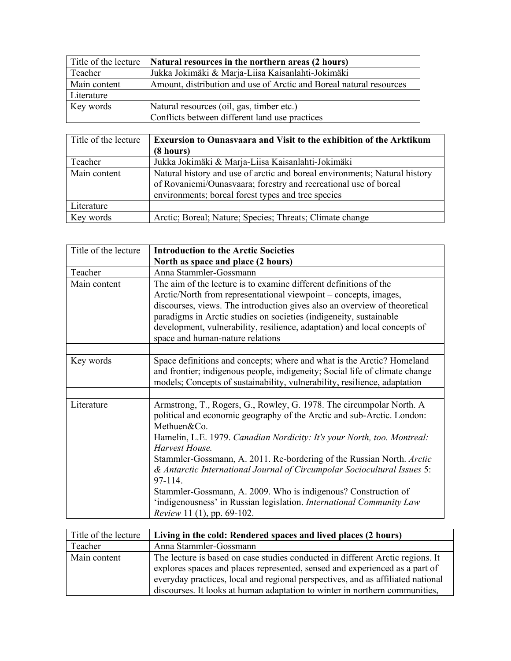| Title of the lecture | Natural resources in the northern areas (2 hours)                   |
|----------------------|---------------------------------------------------------------------|
| Teacher              | Jukka Jokimäki & Marja-Liisa Kaisanlahti-Jokimäki                   |
| Main content         | Amount, distribution and use of Arctic and Boreal natural resources |
| Literature           |                                                                     |
| Key words            | Natural resources (oil, gas, timber etc.)                           |
|                      | Conflicts between different land use practices                      |

| Title of the lecture | <b>Excursion to Ounasyaara and Visit to the exhibition of the Arktikum</b><br>(8 hours)                                                                                                              |
|----------------------|------------------------------------------------------------------------------------------------------------------------------------------------------------------------------------------------------|
| Teacher              | Jukka Jokimäki & Marja-Liisa Kaisanlahti-Jokimäki                                                                                                                                                    |
| Main content         | Natural history and use of arctic and boreal environments; Natural history<br>of Rovaniemi/Ounasvaara; forestry and recreational use of boreal<br>environments; boreal forest types and tree species |
| Literature           |                                                                                                                                                                                                      |
| Key words            | Arctic; Boreal; Nature; Species; Threats; Climate change                                                                                                                                             |

| Title of the lecture | <b>Introduction to the Arctic Societies</b>                                                                                                                                                                                                                                                                                                                                                                                                                                                                                                                                                        |
|----------------------|----------------------------------------------------------------------------------------------------------------------------------------------------------------------------------------------------------------------------------------------------------------------------------------------------------------------------------------------------------------------------------------------------------------------------------------------------------------------------------------------------------------------------------------------------------------------------------------------------|
|                      | North as space and place (2 hours)                                                                                                                                                                                                                                                                                                                                                                                                                                                                                                                                                                 |
| Teacher              | Anna Stammler-Gossmann                                                                                                                                                                                                                                                                                                                                                                                                                                                                                                                                                                             |
| Main content         | The aim of the lecture is to examine different definitions of the<br>Arctic/North from representational viewpoint - concepts, images,<br>discourses, views. The introduction gives also an overview of theoretical<br>paradigms in Arctic studies on societies (indigeneity, sustainable<br>development, vulnerability, resilience, adaptation) and local concepts of<br>space and human-nature relations                                                                                                                                                                                          |
|                      |                                                                                                                                                                                                                                                                                                                                                                                                                                                                                                                                                                                                    |
| Key words            | Space definitions and concepts; where and what is the Arctic? Homeland<br>and frontier; indigenous people, indigeneity; Social life of climate change<br>models; Concepts of sustainability, vulnerability, resilience, adaptation                                                                                                                                                                                                                                                                                                                                                                 |
|                      |                                                                                                                                                                                                                                                                                                                                                                                                                                                                                                                                                                                                    |
| Literature           | Armstrong, T., Rogers, G., Rowley, G. 1978. The circumpolar North. A<br>political and economic geography of the Arctic and sub-Arctic. London:<br>Methuen&Co.<br>Hamelin, L.E. 1979. Canadian Nordicity: It's your North, too. Montreal:<br>Harvest House.<br>Stammler-Gossmann, A. 2011. Re-bordering of the Russian North. Arctic<br>& Antarctic International Journal of Circumpolar Sociocultural Issues 5:<br>97-114.<br>Stammler-Gossmann, A. 2009. Who is indigenous? Construction of<br>'indigenousness' in Russian legislation. International Community Law<br>Review 11 (1), pp. 69-102. |

| Title of the lecture | Living in the cold: Rendered spaces and lived places (2 hours)                                                                                                                                                                                                                                                                  |
|----------------------|---------------------------------------------------------------------------------------------------------------------------------------------------------------------------------------------------------------------------------------------------------------------------------------------------------------------------------|
| Teacher              | Anna Stammler-Gossmann                                                                                                                                                                                                                                                                                                          |
| Main content         | The lecture is based on case studies conducted in different Arctic regions. It<br>explores spaces and places represented, sensed and experienced as a part of<br>everyday practices, local and regional perspectives, and as affiliated national<br>discourses. It looks at human adaptation to winter in northern communities, |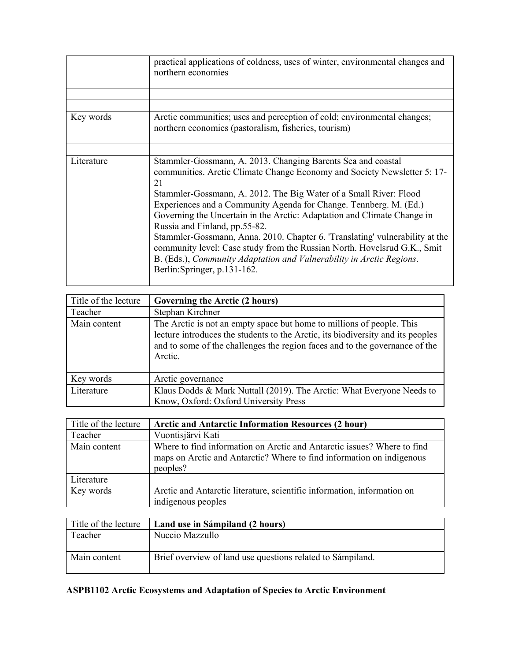|            | practical applications of coldness, uses of winter, environmental changes and<br>northern economies                                                                                                                                                                                                                                                                                                                                                                                                                                                                                                                                                                      |
|------------|--------------------------------------------------------------------------------------------------------------------------------------------------------------------------------------------------------------------------------------------------------------------------------------------------------------------------------------------------------------------------------------------------------------------------------------------------------------------------------------------------------------------------------------------------------------------------------------------------------------------------------------------------------------------------|
|            |                                                                                                                                                                                                                                                                                                                                                                                                                                                                                                                                                                                                                                                                          |
|            |                                                                                                                                                                                                                                                                                                                                                                                                                                                                                                                                                                                                                                                                          |
| Key words  | Arctic communities; uses and perception of cold; environmental changes;<br>northern economies (pastoralism, fisheries, tourism)                                                                                                                                                                                                                                                                                                                                                                                                                                                                                                                                          |
|            |                                                                                                                                                                                                                                                                                                                                                                                                                                                                                                                                                                                                                                                                          |
| Literature | Stammler-Gossmann, A. 2013. Changing Barents Sea and coastal<br>communities. Arctic Climate Change Economy and Society Newsletter 5: 17-<br>21<br>Stammler-Gossmann, A. 2012. The Big Water of a Small River: Flood<br>Experiences and a Community Agenda for Change. Tennberg. M. (Ed.)<br>Governing the Uncertain in the Arctic: Adaptation and Climate Change in<br>Russia and Finland, pp.55-82.<br>Stammler-Gossmann, Anna. 2010. Chapter 6. 'Translating' vulnerability at the<br>community level: Case study from the Russian North. Hovelsrud G.K., Smit<br>B. (Eds.), Community Adaptation and Vulnerability in Arctic Regions.<br>Berlin: Springer, p.131-162. |

| Title of the lecture | Governing the Arctic (2 hours)                                                                                                                                                                                                                     |
|----------------------|----------------------------------------------------------------------------------------------------------------------------------------------------------------------------------------------------------------------------------------------------|
| Teacher              | Stephan Kirchner                                                                                                                                                                                                                                   |
| Main content         | The Arctic is not an empty space but home to millions of people. This<br>lecture introduces the students to the Arctic, its biodiversity and its peoples<br>and to some of the challenges the region faces and to the governance of the<br>Arctic. |
| Key words            | Arctic governance                                                                                                                                                                                                                                  |
| Literature           | Klaus Dodds & Mark Nuttall (2019). The Arctic: What Everyone Needs to<br>Know, Oxford: Oxford University Press                                                                                                                                     |

| Title of the lecture | <b>Arctic and Antarctic Information Resources (2 hour)</b>                                                                                                   |
|----------------------|--------------------------------------------------------------------------------------------------------------------------------------------------------------|
| Teacher              | Vuontisjärvi Kati                                                                                                                                            |
| Main content         | Where to find information on Arctic and Antarctic issues? Where to find<br>maps on Arctic and Antarctic? Where to find information on indigenous<br>peoples? |
| Literature           |                                                                                                                                                              |
| Key words            | Arctic and Antarctic literature, scientific information, information on<br>indigenous peoples                                                                |

| Title of the lecture | Land use in Sámpiland (2 hours)                            |
|----------------------|------------------------------------------------------------|
| Teacher              | Nuccio Mazzullo                                            |
| Main content         | Brief overview of land use questions related to Sámpiland. |

## **ASPB1102 Arctic Ecosystems and Adaptation of Species to Arctic Environment**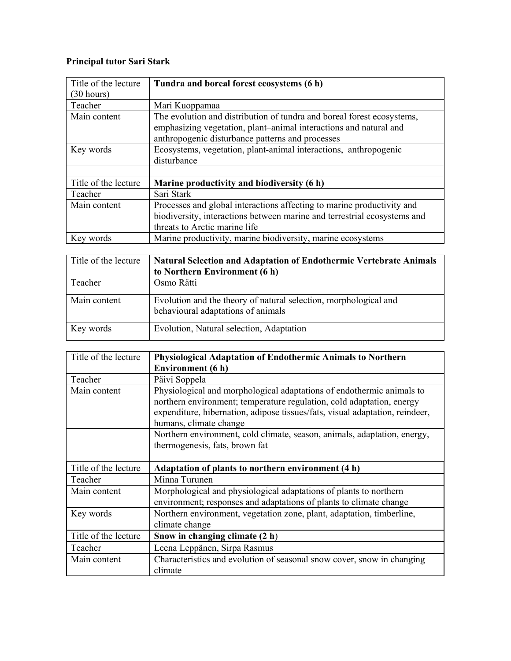### **Principal tutor Sari Stark**

| Title of the lecture | Tundra and boreal forest ecosystems (6 h)                                |
|----------------------|--------------------------------------------------------------------------|
| (30 hours)           |                                                                          |
| Teacher              | Mari Kuoppamaa                                                           |
| Main content         | The evolution and distribution of tundra and boreal forest ecosystems,   |
|                      | emphasizing vegetation, plant-animal interactions and natural and        |
|                      | anthropogenic disturbance patterns and processes                         |
| Key words            | Ecosystems, vegetation, plant-animal interactions, anthropogenic         |
|                      | disturbance                                                              |
|                      |                                                                          |
| Title of the lecture | Marine productivity and biodiversity (6 h)                               |
| Teacher              | Sari Stark                                                               |
| Main content         | Processes and global interactions affecting to marine productivity and   |
|                      | biodiversity, interactions between marine and terrestrial ecosystems and |
|                      | threats to Arctic marine life                                            |
| Key words            | Marine productivity, marine biodiversity, marine ecosystems              |

| Title of the lecture | <b>Natural Selection and Adaptation of Endothermic Vertebrate Animals</b><br>to Northern Environment (6 h) |
|----------------------|------------------------------------------------------------------------------------------------------------|
| Teacher              | Osmo Rätti                                                                                                 |
| Main content         | Evolution and the theory of natural selection, morphological and<br>behavioural adaptations of animals     |
| Key words            | Evolution, Natural selection, Adaptation                                                                   |

| Title of the lecture | <b>Physiological Adaptation of Endothermic Animals to Northern</b><br>Environment (6 h)                                                                                                                                                                  |
|----------------------|----------------------------------------------------------------------------------------------------------------------------------------------------------------------------------------------------------------------------------------------------------|
| Teacher              | Päivi Soppela                                                                                                                                                                                                                                            |
| Main content         | Physiological and morphological adaptations of endothermic animals to<br>northern environment; temperature regulation, cold adaptation, energy<br>expenditure, hibernation, adipose tissues/fats, visual adaptation, reindeer,<br>humans, climate change |
|                      | Northern environment, cold climate, season, animals, adaptation, energy,<br>thermogenesis, fats, brown fat                                                                                                                                               |
| Title of the lecture | Adaptation of plants to northern environment (4 h)                                                                                                                                                                                                       |
| Teacher              | Minna Turunen                                                                                                                                                                                                                                            |
| Main content         | Morphological and physiological adaptations of plants to northern<br>environment; responses and adaptations of plants to climate change                                                                                                                  |
| Key words            | Northern environment, vegetation zone, plant, adaptation, timberline,<br>climate change                                                                                                                                                                  |
| Title of the lecture | Snow in changing climate (2 h)                                                                                                                                                                                                                           |
|                      |                                                                                                                                                                                                                                                          |
| Teacher              | Leena Leppänen, Sirpa Rasmus                                                                                                                                                                                                                             |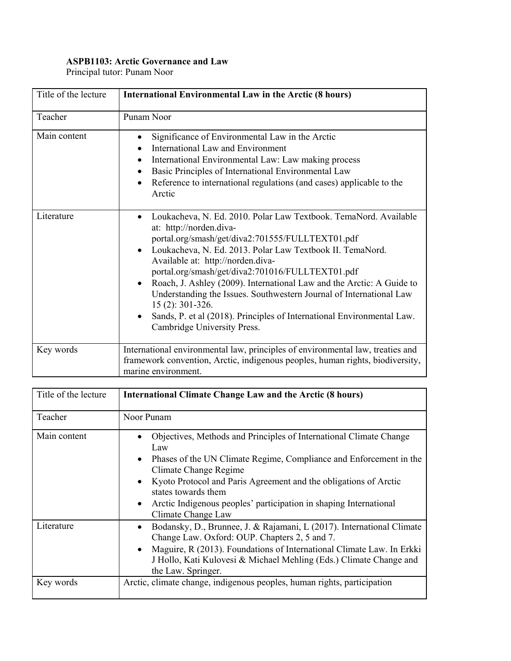### **ASPB1103: Arctic Governance and Law**

Principal tutor: Punam Noor

| Title of the lecture | <b>International Environmental Law in the Arctic (8 hours)</b>                                                                                                                                                                                                                                                                                                                                                                                                                                                                                                                                                                         |
|----------------------|----------------------------------------------------------------------------------------------------------------------------------------------------------------------------------------------------------------------------------------------------------------------------------------------------------------------------------------------------------------------------------------------------------------------------------------------------------------------------------------------------------------------------------------------------------------------------------------------------------------------------------------|
| Teacher              | Punam Noor                                                                                                                                                                                                                                                                                                                                                                                                                                                                                                                                                                                                                             |
| Main content         | Significance of Environmental Law in the Arctic<br>$\bullet$<br><b>International Law and Environment</b><br>International Environmental Law: Law making process<br>$\bullet$<br>Basic Principles of International Environmental Law<br>$\bullet$<br>Reference to international regulations (and cases) applicable to the<br>$\bullet$<br>Arctic                                                                                                                                                                                                                                                                                        |
| Literature           | Loukacheva, N. Ed. 2010. Polar Law Textbook. TemaNord. Available<br>$\bullet$<br>at: http://norden.diva-<br>portal.org/smash/get/diva2:701555/FULLTEXT01.pdf<br>Loukacheva, N. Ed. 2013. Polar Law Textbook II. TemaNord.<br>$\bullet$<br>Available at: http://norden.diva-<br>portal.org/smash/get/diva2:701016/FULLTEXT01.pdf<br>Roach, J. Ashley (2009). International Law and the Arctic: A Guide to<br>$\bullet$<br>Understanding the Issues. Southwestern Journal of International Law<br>15 (2): 301-326.<br>Sands, P. et al (2018). Principles of International Environmental Law.<br>$\bullet$<br>Cambridge University Press. |
| Key words            | International environmental law, principles of environmental law, treaties and<br>framework convention, Arctic, indigenous peoples, human rights, biodiversity,<br>marine environment.                                                                                                                                                                                                                                                                                                                                                                                                                                                 |

| Title of the lecture | <b>International Climate Change Law and the Arctic (8 hours)</b>                                                                                                                                                                                                                                                                                                                                                   |
|----------------------|--------------------------------------------------------------------------------------------------------------------------------------------------------------------------------------------------------------------------------------------------------------------------------------------------------------------------------------------------------------------------------------------------------------------|
| Teacher              | Noor Punam                                                                                                                                                                                                                                                                                                                                                                                                         |
| Main content         | Objectives, Methods and Principles of International Climate Change<br>$\bullet$<br>Law<br>Phases of the UN Climate Regime, Compliance and Enforcement in the<br>$\bullet$<br>Climate Change Regime<br>Kyoto Protocol and Paris Agreement and the obligations of Arctic<br>$\bullet$<br>states towards them<br>Arctic Indigenous peoples' participation in shaping International<br>$\bullet$<br>Climate Change Law |
| Literature           | Bodansky, D., Brunnee, J. & Rajamani, L (2017). International Climate<br>$\bullet$<br>Change Law. Oxford: OUP. Chapters 2, 5 and 7.<br>Maguire, R (2013). Foundations of International Climate Law. In Erkki<br>$\bullet$<br>J Hollo, Kati Kulovesi & Michael Mehling (Eds.) Climate Change and<br>the Law. Springer.                                                                                              |
| Key words            | Arctic, climate change, indigenous peoples, human rights, participation                                                                                                                                                                                                                                                                                                                                            |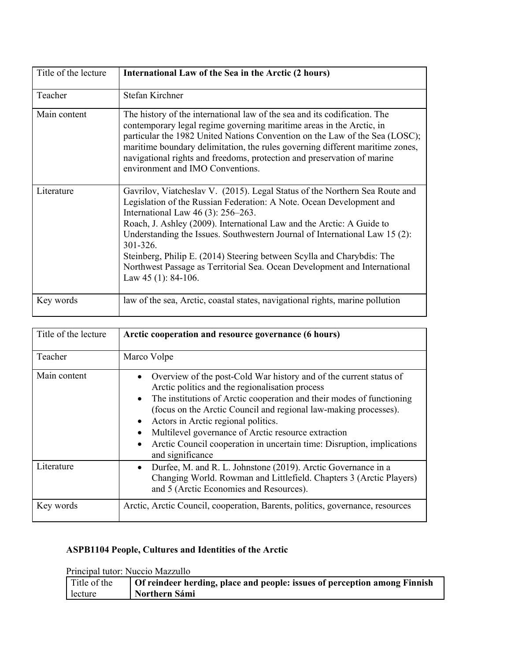| Title of the lecture | International Law of the Sea in the Arctic (2 hours)                                                                                                                                                                                                                                                                                                                                                                                                                                                                                            |
|----------------------|-------------------------------------------------------------------------------------------------------------------------------------------------------------------------------------------------------------------------------------------------------------------------------------------------------------------------------------------------------------------------------------------------------------------------------------------------------------------------------------------------------------------------------------------------|
| Teacher              | Stefan Kirchner                                                                                                                                                                                                                                                                                                                                                                                                                                                                                                                                 |
| Main content         | The history of the international law of the sea and its codification. The<br>contemporary legal regime governing maritime areas in the Arctic, in<br>particular the 1982 United Nations Convention on the Law of the Sea (LOSC);<br>maritime boundary delimitation, the rules governing different maritime zones,<br>navigational rights and freedoms, protection and preservation of marine<br>environment and IMO Conventions.                                                                                                                |
| Literature           | Gavrilov, Viatcheslav V. (2015). Legal Status of the Northern Sea Route and<br>Legislation of the Russian Federation: A Note. Ocean Development and<br>International Law $46(3)$ : 256–263.<br>Roach, J. Ashley (2009). International Law and the Arctic: A Guide to<br>Understanding the Issues. Southwestern Journal of International Law 15 (2):<br>301-326.<br>Steinberg, Philip E. (2014) Steering between Scylla and Charybdis: The<br>Northwest Passage as Territorial Sea. Ocean Development and International<br>Law $45$ (1): 84-106. |
| Key words            | law of the sea, Arctic, coastal states, navigational rights, marine pollution                                                                                                                                                                                                                                                                                                                                                                                                                                                                   |

| Title of the lecture | Arctic cooperation and resource governance (6 hours)                                                                                                                                                                                                                                                                                                                                                                                                                                                  |
|----------------------|-------------------------------------------------------------------------------------------------------------------------------------------------------------------------------------------------------------------------------------------------------------------------------------------------------------------------------------------------------------------------------------------------------------------------------------------------------------------------------------------------------|
| Teacher              | Marco Volpe                                                                                                                                                                                                                                                                                                                                                                                                                                                                                           |
| Main content         | Overview of the post-Cold War history and of the current status of<br>Arctic politics and the regionalisation process<br>The institutions of Arctic cooperation and their modes of functioning<br>$\bullet$<br>(focus on the Arctic Council and regional law-making processes).<br>Actors in Arctic regional politics.<br>$\bullet$<br>Multilevel governance of Arctic resource extraction<br>$\bullet$<br>Arctic Council cooperation in uncertain time: Disruption, implications<br>and significance |
| Literature           | Durfee, M. and R. L. Johnstone (2019). Arctic Governance in a<br>$\bullet$<br>Changing World. Rowman and Littlefield. Chapters 3 (Arctic Players)<br>and 5 (Arctic Economies and Resources).                                                                                                                                                                                                                                                                                                          |
| Key words            | Arctic, Arctic Council, cooperation, Barents, politics, governance, resources                                                                                                                                                                                                                                                                                                                                                                                                                         |

### **ASPB1104 People, Cultures and Identities of the Arctic**

Principal tutor: Nuccio Mazzullo

| Title of the | Of reindeer herding, place and people: issues of perception among Finnish |
|--------------|---------------------------------------------------------------------------|
| lecture      | Northern Sámi                                                             |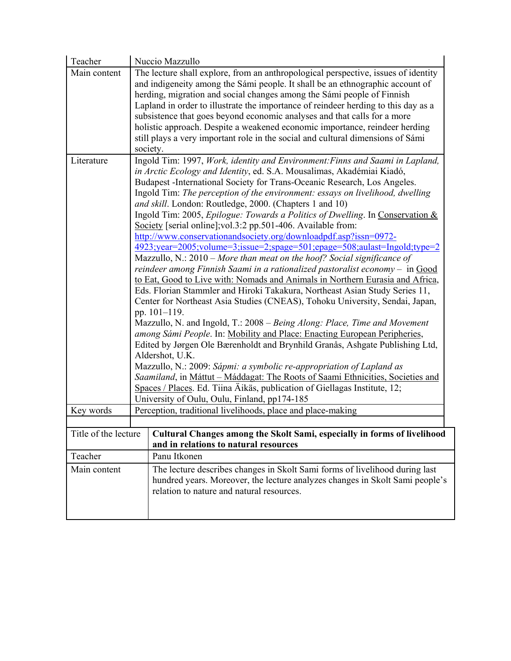| Teacher              | Nuccio Mazzullo                                                                                                                                                                                                                                                                                                                                                                                                                                                                                                                                                                                                                                                                                                                                                                                                                                                                                                                                                                                                                                                                                                                                                                                                                                                                                                                                                                                                                                                                                                                                                                                                                                                    |
|----------------------|--------------------------------------------------------------------------------------------------------------------------------------------------------------------------------------------------------------------------------------------------------------------------------------------------------------------------------------------------------------------------------------------------------------------------------------------------------------------------------------------------------------------------------------------------------------------------------------------------------------------------------------------------------------------------------------------------------------------------------------------------------------------------------------------------------------------------------------------------------------------------------------------------------------------------------------------------------------------------------------------------------------------------------------------------------------------------------------------------------------------------------------------------------------------------------------------------------------------------------------------------------------------------------------------------------------------------------------------------------------------------------------------------------------------------------------------------------------------------------------------------------------------------------------------------------------------------------------------------------------------------------------------------------------------|
| Main content         | The lecture shall explore, from an anthropological perspective, issues of identity<br>and indigeneity among the Sámi people. It shall be an ethnographic account of<br>herding, migration and social changes among the Sámi people of Finnish<br>Lapland in order to illustrate the importance of reindeer herding to this day as a<br>subsistence that goes beyond economic analyses and that calls for a more<br>holistic approach. Despite a weakened economic importance, reindeer herding<br>still plays a very important role in the social and cultural dimensions of Sámi<br>society.                                                                                                                                                                                                                                                                                                                                                                                                                                                                                                                                                                                                                                                                                                                                                                                                                                                                                                                                                                                                                                                                      |
| Literature           | Ingold Tim: 1997, Work, identity and Environment: Finns and Saami in Lapland,<br>in Arctic Ecology and Identity, ed. S.A. Mousalimas, Akadémiai Kiadó,<br>Budapest -International Society for Trans-Oceanic Research, Los Angeles.<br>Ingold Tim: The perception of the environment: essays on livelihood, dwelling<br>and skill. London: Routledge, 2000. (Chapters 1 and 10)<br>Ingold Tim: 2005, Epilogue: Towards a Politics of Dwelling. In Conservation &<br>Society [serial online]; vol.3:2 pp.501-406. Available from:<br>http://www.conservationandsociety.org/downloadpdf.asp?issn=0972-<br>4923;year=2005;volume=3;issue=2;spage=501;epage=508;aulast=Ingold;type=2<br>Mazzullo, N.: $2010$ – More than meat on the hoof? Social significance of<br>reindeer among Finnish Saami in a rationalized pastoralist economy $-$ in Good<br>to Eat, Good to Live with: Nomads and Animals in Northern Eurasia and Africa,<br>Eds. Florian Stammler and Hiroki Takakura, Northeast Asian Study Series 11,<br>Center for Northeast Asia Studies (CNEAS), Tohoku University, Sendai, Japan,<br>pp. 101-119.<br>Mazzullo, N. and Ingold, T.: 2008 – Being Along: Place, Time and Movement<br>among Sámi People. In: Mobility and Place: Enacting European Peripheries,<br>Edited by Jørgen Ole Bærenholdt and Brynhild Granås, Ashgate Publishing Ltd,<br>Aldershot, U.K.<br>Mazzullo, N.: 2009: Sápmi: a symbolic re-appropriation of Lapland as<br>Saamiland, in Máttut – Máddagat: The Roots of Saami Ethnicities, Societies and<br>Spaces / Places. Ed. Tiina Äikäs, publication of Giellagas Institute, 12;<br>University of Oulu, Oulu, Finland, pp174-185 |
| Key words            | Perception, traditional livelihoods, place and place-making                                                                                                                                                                                                                                                                                                                                                                                                                                                                                                                                                                                                                                                                                                                                                                                                                                                                                                                                                                                                                                                                                                                                                                                                                                                                                                                                                                                                                                                                                                                                                                                                        |
|                      |                                                                                                                                                                                                                                                                                                                                                                                                                                                                                                                                                                                                                                                                                                                                                                                                                                                                                                                                                                                                                                                                                                                                                                                                                                                                                                                                                                                                                                                                                                                                                                                                                                                                    |
| Title of the lecture | Cultural Changes among the Skolt Sami, especially in forms of livelihood<br>and in relations to natural resources                                                                                                                                                                                                                                                                                                                                                                                                                                                                                                                                                                                                                                                                                                                                                                                                                                                                                                                                                                                                                                                                                                                                                                                                                                                                                                                                                                                                                                                                                                                                                  |
| Teacher              | Panu Itkonen                                                                                                                                                                                                                                                                                                                                                                                                                                                                                                                                                                                                                                                                                                                                                                                                                                                                                                                                                                                                                                                                                                                                                                                                                                                                                                                                                                                                                                                                                                                                                                                                                                                       |
| Main content         | The lecture describes changes in Skolt Sami forms of livelihood during last<br>hundred years. Moreover, the lecture analyzes changes in Skolt Sami people's<br>relation to nature and natural resources.                                                                                                                                                                                                                                                                                                                                                                                                                                                                                                                                                                                                                                                                                                                                                                                                                                                                                                                                                                                                                                                                                                                                                                                                                                                                                                                                                                                                                                                           |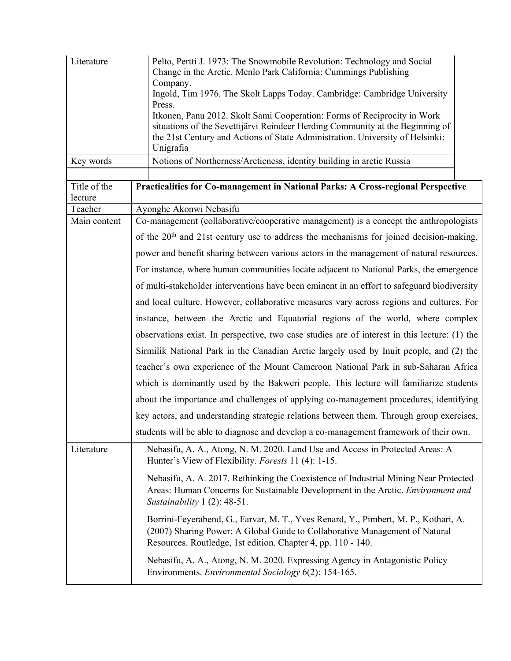| Literature<br>Key words | Pelto, Pertti J. 1973: The Snowmobile Revolution: Technology and Social<br>Change in the Arctic. Menlo Park California: Cummings Publishing<br>Company.<br>Ingold, Tim 1976. The Skolt Lapps Today. Cambridge: Cambridge University<br>Press.<br>Itkonen, Panu 2012. Skolt Sami Cooperation: Forms of Reciprocity in Work<br>situations of the Sevettijärvi Reindeer Herding Community at the Beginning of<br>the 21st Century and Actions of State Administration. University of Helsinki:<br>Unigrafia<br>Notions of Northerness/Arcticness, identity building in arctic Russia |
|-------------------------|-----------------------------------------------------------------------------------------------------------------------------------------------------------------------------------------------------------------------------------------------------------------------------------------------------------------------------------------------------------------------------------------------------------------------------------------------------------------------------------------------------------------------------------------------------------------------------------|
|                         |                                                                                                                                                                                                                                                                                                                                                                                                                                                                                                                                                                                   |
| Title of the<br>lecture | Practicalities for Co-management in National Parks: A Cross-regional Perspective                                                                                                                                                                                                                                                                                                                                                                                                                                                                                                  |
| Teacher                 | Ayonghe Akonwi Nebasifu                                                                                                                                                                                                                                                                                                                                                                                                                                                                                                                                                           |
| Main content            | Co-management (collaborative/cooperative management) is a concept the anthropologists                                                                                                                                                                                                                                                                                                                                                                                                                                                                                             |
|                         | of the 20 <sup>th</sup> and 21st century use to address the mechanisms for joined decision-making,                                                                                                                                                                                                                                                                                                                                                                                                                                                                                |
|                         | power and benefit sharing between various actors in the management of natural resources.                                                                                                                                                                                                                                                                                                                                                                                                                                                                                          |
|                         | For instance, where human communities locate adjacent to National Parks, the emergence                                                                                                                                                                                                                                                                                                                                                                                                                                                                                            |
|                         | of multi-stakeholder interventions have been eminent in an effort to safeguard biodiversity                                                                                                                                                                                                                                                                                                                                                                                                                                                                                       |
|                         | and local culture. However, collaborative measures vary across regions and cultures. For                                                                                                                                                                                                                                                                                                                                                                                                                                                                                          |
|                         | instance, between the Arctic and Equatorial regions of the world, where complex                                                                                                                                                                                                                                                                                                                                                                                                                                                                                                   |
|                         | observations exist. In perspective, two case studies are of interest in this lecture: (1) the                                                                                                                                                                                                                                                                                                                                                                                                                                                                                     |
|                         | Sirmilik National Park in the Canadian Arctic largely used by Inuit people, and (2) the                                                                                                                                                                                                                                                                                                                                                                                                                                                                                           |
|                         | teacher's own experience of the Mount Cameroon National Park in sub-Saharan Africa                                                                                                                                                                                                                                                                                                                                                                                                                                                                                                |
|                         | which is dominantly used by the Bakweri people. This lecture will familiarize students                                                                                                                                                                                                                                                                                                                                                                                                                                                                                            |
|                         | about the importance and challenges of applying co-management procedures, identifying                                                                                                                                                                                                                                                                                                                                                                                                                                                                                             |
|                         | key actors, and understanding strategic relations between them. Through group exercises,                                                                                                                                                                                                                                                                                                                                                                                                                                                                                          |
|                         | students will be able to diagnose and develop a co-management framework of their own.                                                                                                                                                                                                                                                                                                                                                                                                                                                                                             |
| Literature              | Nebasifu, A. A., Atong, N. M. 2020. Land Use and Access in Protected Areas: A<br>Hunter's View of Flexibility. Forests 11 (4): 1-15.                                                                                                                                                                                                                                                                                                                                                                                                                                              |
|                         | Nebasifu, A. A. 2017. Rethinking the Coexistence of Industrial Mining Near Protected<br>Areas: Human Concerns for Sustainable Development in the Arctic. Environment and<br>Sustainability $1(2)$ : 48-51.                                                                                                                                                                                                                                                                                                                                                                        |
|                         | Borrini-Feyerabend, G., Farvar, M. T., Yves Renard, Y., Pimbert, M. P., Kothari, A.<br>(2007) Sharing Power: A Global Guide to Collaborative Management of Natural<br>Resources. Routledge, 1st edition. Chapter 4, pp. 110 - 140.                                                                                                                                                                                                                                                                                                                                                |
|                         | Nebasifu, A. A., Atong, N. M. 2020. Expressing Agency in Antagonistic Policy<br>Environments. Environmental Sociology 6(2): 154-165.                                                                                                                                                                                                                                                                                                                                                                                                                                              |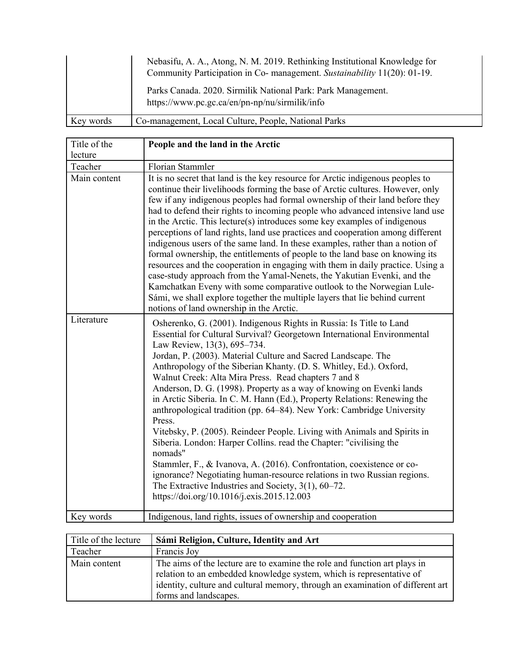|           | Nebasifu, A. A., Atong, N. M. 2019. Rethinking Institutional Knowledge for<br>Community Participation in Co- management. Sustainability 11(20): 01-19. |
|-----------|--------------------------------------------------------------------------------------------------------------------------------------------------------|
|           | Parks Canada. 2020. Sirmilik National Park: Park Management.<br>https://www.pc.gc.ca/en/pn-np/nu/sirmilik/info                                         |
| Key words | Co-management, Local Culture, People, National Parks                                                                                                   |

| Title of the<br>lecture | People and the land in the Arctic                                                                                                                                                                                                                                                                                                                                                                                                                                                                                                                                                                                                                                                                                                                                                                                                                                                                                                                                                                                                               |
|-------------------------|-------------------------------------------------------------------------------------------------------------------------------------------------------------------------------------------------------------------------------------------------------------------------------------------------------------------------------------------------------------------------------------------------------------------------------------------------------------------------------------------------------------------------------------------------------------------------------------------------------------------------------------------------------------------------------------------------------------------------------------------------------------------------------------------------------------------------------------------------------------------------------------------------------------------------------------------------------------------------------------------------------------------------------------------------|
| Teacher                 | Florian Stammler                                                                                                                                                                                                                                                                                                                                                                                                                                                                                                                                                                                                                                                                                                                                                                                                                                                                                                                                                                                                                                |
| Main content            | It is no secret that land is the key resource for Arctic indigenous peoples to<br>continue their livelihoods forming the base of Arctic cultures. However, only<br>few if any indigenous peoples had formal ownership of their land before they<br>had to defend their rights to incoming people who advanced intensive land use<br>in the Arctic. This lecture(s) introduces some key examples of indigenous<br>perceptions of land rights, land use practices and cooperation among different<br>indigenous users of the same land. In these examples, rather than a notion of<br>formal ownership, the entitlements of people to the land base on knowing its<br>resources and the cooperation in engaging with them in daily practice. Using a<br>case-study approach from the Yamal-Nenets, the Yakutian Evenki, and the<br>Kamchatkan Eveny with some comparative outlook to the Norwegian Lule-<br>Sámi, we shall explore together the multiple layers that lie behind current<br>notions of land ownership in the Arctic.               |
| Literature              | Osherenko, G. (2001). Indigenous Rights in Russia: Is Title to Land<br>Essential for Cultural Survival? Georgetown International Environmental<br>Law Review, 13(3), 695-734.<br>Jordan, P. (2003). Material Culture and Sacred Landscape. The<br>Anthropology of the Siberian Khanty. (D. S. Whitley, Ed.). Oxford,<br>Walnut Creek: Alta Mira Press. Read chapters 7 and 8<br>Anderson, D. G. (1998). Property as a way of knowing on Evenki lands<br>in Arctic Siberia. In C. M. Hann (Ed.), Property Relations: Renewing the<br>anthropological tradition (pp. 64–84). New York: Cambridge University<br>Press.<br>Vitebsky, P. (2005). Reindeer People. Living with Animals and Spirits in<br>Siberia. London: Harper Collins. read the Chapter: "civilising the<br>nomads"<br>Stammler, F., & Ivanova, A. (2016). Confrontation, coexistence or co-<br>ignorance? Negotiating human-resource relations in two Russian regions.<br>The Extractive Industries and Society, $3(1)$ , $60-72$ .<br>https://doi.org/10.1016/j.exis.2015.12.003 |
| Key words               | Indigenous, land rights, issues of ownership and cooperation                                                                                                                                                                                                                                                                                                                                                                                                                                                                                                                                                                                                                                                                                                                                                                                                                                                                                                                                                                                    |

| Title of the lecture | Sámi Religion, Culture, Identity and Art                                       |
|----------------------|--------------------------------------------------------------------------------|
| Teacher              | Francis Joy                                                                    |
| Main content         | The aims of the lecture are to examine the role and function art plays in      |
|                      | relation to an embedded knowledge system, which is representative of           |
|                      | identity, culture and cultural memory, through an examination of different art |
|                      | forms and landscapes.                                                          |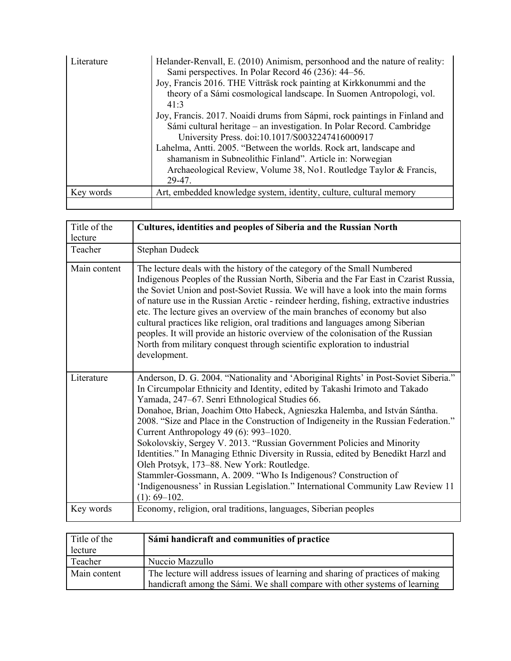| Literature | Helander-Renvall, E. (2010) Animism, personhood and the nature of reality:<br>Sami perspectives. In Polar Record 46 (236): 44–56.<br>Joy, Francis 2016. THE Vitträsk rock painting at Kirkkonummi and the<br>theory of a Sámi cosmological landscape. In Suomen Antropologi, vol.<br>41:3                                                                                                                                 |
|------------|---------------------------------------------------------------------------------------------------------------------------------------------------------------------------------------------------------------------------------------------------------------------------------------------------------------------------------------------------------------------------------------------------------------------------|
|            | Joy, Francis. 2017. Noaidi drums from Sápmi, rock paintings in Finland and<br>Sámi cultural heritage – an investigation. In Polar Record. Cambridge<br>University Press. doi:10.1017/S0032247416000917<br>Lahelma, Antti. 2005. "Between the worlds. Rock art, landscape and<br>shamanism in Subneolithic Finland". Article in: Norwegian<br>Archaeological Review, Volume 38, No1. Routledge Taylor & Francis,<br>29-47. |
| Key words  | Art, embedded knowledge system, identity, culture, cultural memory                                                                                                                                                                                                                                                                                                                                                        |
|            |                                                                                                                                                                                                                                                                                                                                                                                                                           |

| Title of the<br>lecture | Cultures, identities and peoples of Siberia and the Russian North                                                                                                                                                                                                                                                                                                                                                                                                                                                                                                                                                                                                                                                                                                                                                           |
|-------------------------|-----------------------------------------------------------------------------------------------------------------------------------------------------------------------------------------------------------------------------------------------------------------------------------------------------------------------------------------------------------------------------------------------------------------------------------------------------------------------------------------------------------------------------------------------------------------------------------------------------------------------------------------------------------------------------------------------------------------------------------------------------------------------------------------------------------------------------|
| Teacher                 | Stephan Dudeck                                                                                                                                                                                                                                                                                                                                                                                                                                                                                                                                                                                                                                                                                                                                                                                                              |
| Main content            | The lecture deals with the history of the category of the Small Numbered<br>Indigenous Peoples of the Russian North, Siberia and the Far East in Czarist Russia,<br>the Soviet Union and post-Soviet Russia. We will have a look into the main forms<br>of nature use in the Russian Arctic - reindeer herding, fishing, extractive industries<br>etc. The lecture gives an overview of the main branches of economy but also<br>cultural practices like religion, oral traditions and languages among Siberian<br>peoples. It will provide an historic overview of the colonisation of the Russian<br>North from military conquest through scientific exploration to industrial<br>development.                                                                                                                            |
| Literature              | Anderson, D. G. 2004. "Nationality and 'Aboriginal Rights' in Post-Soviet Siberia."<br>In Circumpolar Ethnicity and Identity, edited by Takashi Irimoto and Takado<br>Yamada, 247-67. Senri Ethnological Studies 66.<br>Donahoe, Brian, Joachim Otto Habeck, Agnieszka Halemba, and István Sántha.<br>2008. "Size and Place in the Construction of Indigeneity in the Russian Federation."<br>Current Anthropology 49 (6): 993-1020.<br>Sokolovskiy, Sergey V. 2013. "Russian Government Policies and Minority<br>Identities." In Managing Ethnic Diversity in Russia, edited by Benedikt Harzl and<br>Oleh Protsyk, 173–88. New York: Routledge.<br>Stammler-Gossmann, A. 2009. "Who Is Indigenous? Construction of<br>'Indigenousness' in Russian Legislation." International Community Law Review 11<br>$(1): 69 - 102.$ |
| Key words               | Economy, religion, oral traditions, languages, Siberian peoples                                                                                                                                                                                                                                                                                                                                                                                                                                                                                                                                                                                                                                                                                                                                                             |

| Title of the | Sámi handicraft and communities of practice                                                                                                                  |
|--------------|--------------------------------------------------------------------------------------------------------------------------------------------------------------|
| lecture      |                                                                                                                                                              |
| Teacher      | Nuccio Mazzullo                                                                                                                                              |
| Main content | The lecture will address issues of learning and sharing of practices of making<br>handicraft among the Sámi. We shall compare with other systems of learning |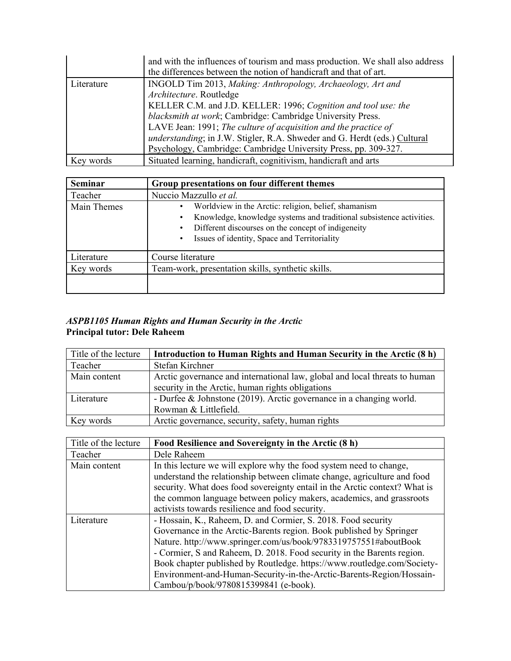|            | and with the influences of tourism and mass production. We shall also address<br>the differences between the notion of handicraft and that of art. |
|------------|----------------------------------------------------------------------------------------------------------------------------------------------------|
| Literature | INGOLD Tim 2013, Making: Anthropology, Archaeology, Art and                                                                                        |
|            | Architecture. Routledge                                                                                                                            |
|            | KELLER C.M. and J.D. KELLER: 1996; Cognition and tool use: the                                                                                     |
|            | blacksmith at work; Cambridge: Cambridge University Press.                                                                                         |
|            | LAVE Jean: 1991; The culture of acquisition and the practice of                                                                                    |
|            | understanding; in J.W. Stigler, R.A. Shweder and G. Herdt (eds.) Cultural                                                                          |
|            | Psychology, Cambridge: Cambridge University Press, pp. 309-327.                                                                                    |
| Key words  | Situated learning, handicraft, cognitivism, handicraft and arts                                                                                    |

| <b>Seminar</b> | Group presentations on four different themes                                                                                                                                                                                                    |
|----------------|-------------------------------------------------------------------------------------------------------------------------------------------------------------------------------------------------------------------------------------------------|
| Teacher        | Nuccio Mazzullo et al.                                                                                                                                                                                                                          |
| Main Themes    | Worldview in the Arctic: religion, belief, shamanism<br>$\bullet$<br>Knowledge, knowledge systems and traditional subsistence activities.<br>Different discourses on the concept of indigeneity<br>Issues of identity, Space and Territoriality |
| Literature     | Course literature                                                                                                                                                                                                                               |
| Key words      | Team-work, presentation skills, synthetic skills.                                                                                                                                                                                               |
|                |                                                                                                                                                                                                                                                 |

#### *ASPB1105 Human Rights and Human Security in the Arctic*  **Principal tutor: Dele Raheem**

| Title of the lecture | Introduction to Human Rights and Human Security in the Arctic (8 h)        |
|----------------------|----------------------------------------------------------------------------|
| Teacher              | Stefan Kirchner                                                            |
| Main content         | Arctic governance and international law, global and local threats to human |
|                      | security in the Arctic, human rights obligations                           |
| Literature           | - Durfee & Johnstone (2019). Arctic governance in a changing world.        |
|                      | Rowman & Littlefield.                                                      |
| Key words            | Arctic governance, security, safety, human rights                          |

| Title of the lecture | Food Resilience and Sovereignty in the Arctic (8 h)                        |
|----------------------|----------------------------------------------------------------------------|
| Teacher              | Dele Raheem                                                                |
| Main content         | In this lecture we will explore why the food system need to change,        |
|                      | understand the relationship between climate change, agriculture and food   |
|                      | security. What does food sovereignty entail in the Arctic context? What is |
|                      | the common language between policy makers, academics, and grassroots       |
|                      | activists towards resilience and food security.                            |
| Literature           | - Hossain, K., Raheem, D. and Cormier, S. 2018. Food security              |
|                      | Governance in the Arctic-Barents region. Book published by Springer        |
|                      | Nature. http://www.springer.com/us/book/9783319757551#aboutBook            |
|                      | - Cormier, S and Raheem, D. 2018. Food security in the Barents region.     |
|                      | Book chapter published by Routledge. https://www.routledge.com/Society-    |
|                      | Environment-and-Human-Security-in-the-Arctic-Barents-Region/Hossain-       |
|                      | Cambou/p/book/9780815399841 (e-book).                                      |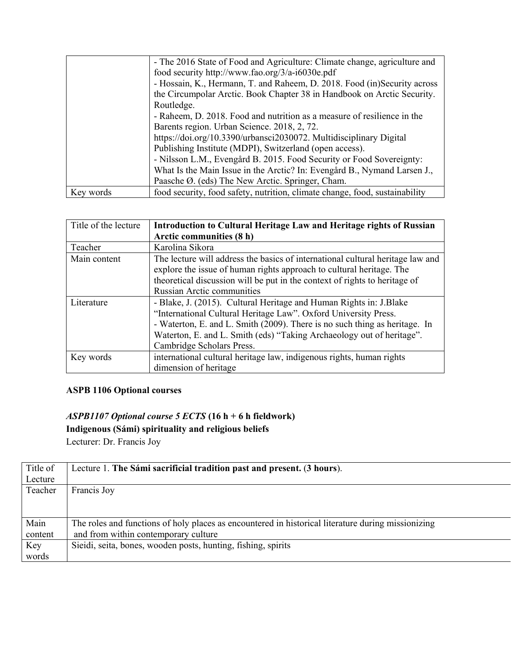|           | - The 2016 State of Food and Agriculture: Climate change, agriculture and   |
|-----------|-----------------------------------------------------------------------------|
|           | food security http://www.fao.org/3/a-i6030e.pdf                             |
|           | - Hossain, K., Hermann, T. and Raheem, D. 2018. Food (in)Security across    |
|           | the Circumpolar Arctic. Book Chapter 38 in Handbook on Arctic Security.     |
|           | Routledge.                                                                  |
|           | - Raheem, D. 2018. Food and nutrition as a measure of resilience in the     |
|           | Barents region. Urban Science. 2018, 2, 72.                                 |
|           | https://doi.org/10.3390/urbansci2030072. Multidisciplinary Digital          |
|           | Publishing Institute (MDPI), Switzerland (open access).                     |
|           | - Nilsson L.M., Evengård B. 2015. Food Security or Food Sovereignty:        |
|           | What Is the Main Issue in the Arctic? In: Evengård B., Nymand Larsen J.,    |
|           | Paasche Ø. (eds) The New Arctic. Springer, Cham.                            |
| Key words | food security, food safety, nutrition, climate change, food, sustainability |

| Title of the lecture | Introduction to Cultural Heritage Law and Heritage rights of Russian           |
|----------------------|--------------------------------------------------------------------------------|
|                      | Arctic communities (8 h)                                                       |
| Teacher              | Karolina Sikora                                                                |
| Main content         | The lecture will address the basics of international cultural heritage law and |
|                      | explore the issue of human rights approach to cultural heritage. The           |
|                      | theoretical discussion will be put in the context of rights to heritage of     |
|                      | Russian Arctic communities                                                     |
| Literature           | - Blake, J. (2015). Cultural Heritage and Human Rights in: J. Blake            |
|                      | "International Cultural Heritage Law". Oxford University Press.                |
|                      | - Waterton, E. and L. Smith (2009). There is no such thing as heritage. In     |
|                      | Waterton, E. and L. Smith (eds) "Taking Archaeology out of heritage".          |
|                      | Cambridge Scholars Press.                                                      |
| Key words            | international cultural heritage law, indigenous rights, human rights           |
|                      | dimension of heritage                                                          |

### **ASPB 1106 Optional courses**

# *ASPB1107 Optional course 5 ECTS* **(16 h + 6 h fieldwork) Indigenous (Sámi) spirituality and religious beliefs**

Lecturer: Dr. Francis Joy

| Title of | Lecture 1. The Sámi sacrificial tradition past and present. (3 hours).                             |
|----------|----------------------------------------------------------------------------------------------------|
| Lecture  |                                                                                                    |
| Teacher  | Francis Joy                                                                                        |
|          |                                                                                                    |
|          |                                                                                                    |
| Main     | The roles and functions of holy places as encountered in historical literature during missionizing |
| content  | and from within contemporary culture                                                               |
| Key      | Sieidi, seita, bones, wooden posts, hunting, fishing, spirits                                      |
| words    |                                                                                                    |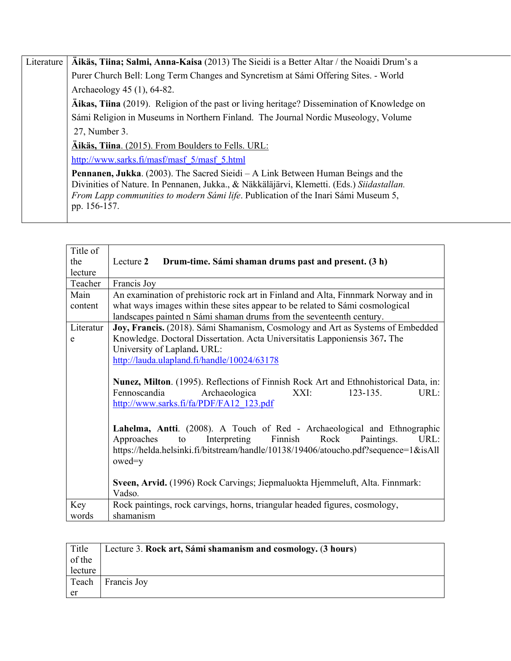| Literature | Äikäs, Tiina; Salmi, Anna-Kaisa (2013) The Sieidi is a Better Altar / the Noaidi Drum's a                                                                                                                                                                                                         |
|------------|---------------------------------------------------------------------------------------------------------------------------------------------------------------------------------------------------------------------------------------------------------------------------------------------------|
|            | Purer Church Bell: Long Term Changes and Syncretism at Sámi Offering Sites. - World                                                                                                                                                                                                               |
|            | Archaeology 45 (1), 64-82.                                                                                                                                                                                                                                                                        |
|            | Äikas, Tiina (2019). Religion of the past or living heritage? Dissemination of Knowledge on                                                                                                                                                                                                       |
|            | Sámi Religion in Museums in Northern Finland. The Journal Nordic Museology, Volume                                                                                                                                                                                                                |
|            | 27, Number 3.                                                                                                                                                                                                                                                                                     |
|            | Äikäs, Tiina. (2015). From Boulders to Fells. URL:                                                                                                                                                                                                                                                |
|            | http://www.sarks.fi/masf/masf 5/masf 5.html                                                                                                                                                                                                                                                       |
|            | <b>Pennanen, Jukka.</b> (2003). The Sacred Sieidi – A Link Between Human Beings and the<br>Divinities of Nature. In Pennanen, Jukka., & Näkkäläjärvi, Klemetti. (Eds.) Siidastallan.<br><i>From Lapp communities to modern Sámi life.</i> Publication of the Inari Sámi Museum 5,<br>pp. 156-157. |
|            |                                                                                                                                                                                                                                                                                                   |

| Title of  |                                                                                      |
|-----------|--------------------------------------------------------------------------------------|
| the       | Lecture 2<br>Drum-time. Sámi shaman drums past and present. (3 h)                    |
| lecture   |                                                                                      |
| Teacher   | Francis Joy                                                                          |
| Main      | An examination of prehistoric rock art in Finland and Alta, Finnmark Norway and in   |
| content   | what ways images within these sites appear to be related to Sámi cosmological        |
|           | landscapes painted n Sámi shaman drums from the seventeenth century.                 |
| Literatur | Joy, Francis. (2018). Sámi Shamanism, Cosmology and Art as Systems of Embedded       |
| e         | Knowledge. Doctoral Dissertation. Acta Universitatis Lapponiensis 367. The           |
|           | University of Lapland. URL:                                                          |
|           | http://lauda.ulapland.fi/handle/10024/63178                                          |
|           |                                                                                      |
|           | Nunez, Milton. (1995). Reflections of Finnish Rock Art and Ethnohistorical Data, in: |
|           | Fennoscandia<br>Archaeologica<br>XXI:<br>$123 - 135.$<br>URL:                        |
|           | http://www.sarks.fi/fa/PDF/FA12_123.pdf                                              |
|           |                                                                                      |
|           | Lahelma, Antti. (2008). A Touch of Red - Archaeological and Ethnographic             |
|           | to Interpreting Finnish<br>Rock<br>Approaches<br>Paintings.<br>URL:                  |
|           | https://helda.helsinki.fi/bitstream/handle/10138/19406/atoucho.pdf?sequence=1&isAll  |
|           | owed=y                                                                               |
|           |                                                                                      |
|           | Sveen, Arvid. (1996) Rock Carvings; Jiepmaluokta Hjemmeluft, Alta. Finnmark:         |
|           | Vadso.                                                                               |
| Key       | Rock paintings, rock carvings, horns, triangular headed figures, cosmology,          |
| words     | shamanism                                                                            |
|           |                                                                                      |

| Title   | Lecture 3. Rock art, Sámi shamanism and cosmology. (3 hours) |
|---------|--------------------------------------------------------------|
| of the  |                                                              |
| lecture |                                                              |
| Teach   | Francis Joy                                                  |
| er      |                                                              |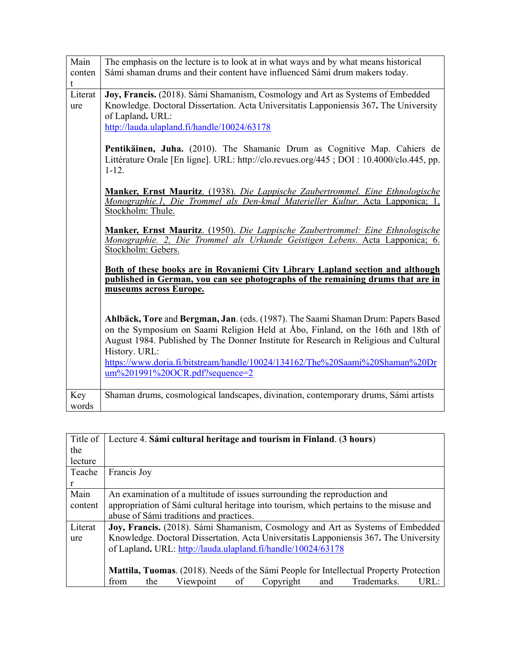| Main<br>conten<br>t | The emphasis on the lecture is to look at in what ways and by what means historical<br>Sámi shaman drums and their content have influenced Sámi drum makers today.                                                                                                                                                                                                                                                                                                                                                                                                                                                       |
|---------------------|--------------------------------------------------------------------------------------------------------------------------------------------------------------------------------------------------------------------------------------------------------------------------------------------------------------------------------------------------------------------------------------------------------------------------------------------------------------------------------------------------------------------------------------------------------------------------------------------------------------------------|
| Literat<br>ure      | Joy, Francis. (2018). Sámi Shamanism, Cosmology and Art as Systems of Embedded<br>Knowledge. Doctoral Dissertation. Acta Universitatis Lapponiensis 367. The University<br>of Lapland. URL:<br>http://lauda.ulapland.fi/handle/10024/63178<br>Pentikäinen, Juha. (2010). The Shamanic Drum as Cognitive Map. Cahiers de<br>Littérature Orale [En ligne]. URL: http://clo.revues.org/445; DOI: 10.4000/clo.445, pp.<br>$1 - 12.$<br>Manker, Ernst Mauritz. (1938). Die Lappische Zaubertrommel. Eine Ethnologische<br>Monographie.1, Die Trommel als Den-kmal Materieller Kultur. Acta Lapponica; 1,<br>Stockholm: Thule. |
|                     | Manker, Ernst Mauritz. (1950). Die Lappische Zaubertrommel: Eine Ethnologische<br>Monographie. 2, Die Trommel als Urkunde Geistigen Lebens. Acta Lapponica; 6.<br>Stockholm: Gebers.                                                                                                                                                                                                                                                                                                                                                                                                                                     |
|                     | Both of these books are in Rovaniemi City Library Lapland section and although<br>published in German, you can see photographs of the remaining drums that are in<br>museums across Europe.                                                                                                                                                                                                                                                                                                                                                                                                                              |
|                     | Ahlbäck, Tore and Bergman, Jan. (eds. (1987). The Saami Shaman Drum: Papers Based<br>on the Symposium on Saami Religion Held at Åbo, Finland, on the 16th and 18th of<br>August 1984. Published by The Donner Institute for Research in Religious and Cultural<br>History. URL:<br>https://www.doria.fi/bitstream/handle/10024/134162/The%20Saami%20Shaman%20Dr<br>um%201991%20OCR.pdf?sequence=2                                                                                                                                                                                                                        |
| Key<br>words        | Shaman drums, cosmological landscapes, divination, contemporary drums, Sámi artists                                                                                                                                                                                                                                                                                                                                                                                                                                                                                                                                      |

| Title of | Lecture 4. Sámi cultural heritage and tourism in Finland. (3 hours)                           |
|----------|-----------------------------------------------------------------------------------------------|
| the      |                                                                                               |
| lecture  |                                                                                               |
| Teache   | Francis Joy                                                                                   |
| r        |                                                                                               |
| Main     | An examination of a multitude of issues surrounding the reproduction and                      |
| content  | appropriation of Sámi cultural heritage into tourism, which pertains to the misuse and        |
|          | abuse of Sámi traditions and practices.                                                       |
| Literat  | Joy, Francis. (2018). Sámi Shamanism, Cosmology and Art as Systems of Embedded                |
| ure      | Knowledge. Doctoral Dissertation. Acta Universitatis Lapponiensis 367. The University         |
|          | of Lapland. URL: http://lauda.ulapland.fi/handle/10024/63178                                  |
|          |                                                                                               |
|          | <b>Mattila, Tuomas.</b> (2018). Needs of the Sámi People for Intellectual Property Protection |
|          | Trademarks.<br>Viewpoint<br>Copyright<br>URL:<br>of<br>and<br>from<br>the                     |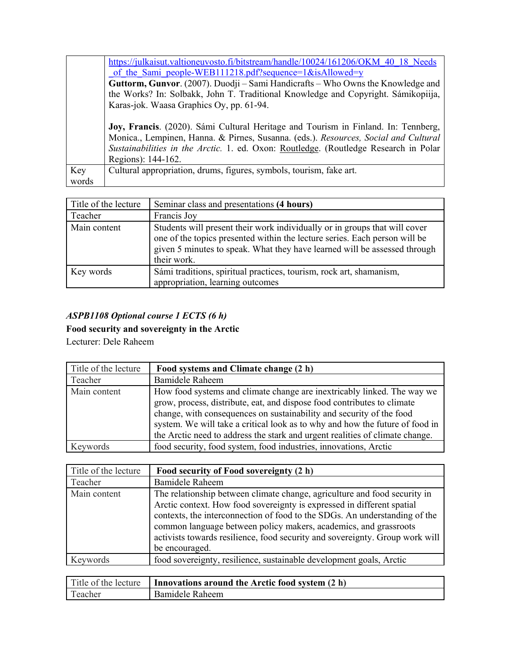|       | https://julkaisut.valtioneuvosto.fi/bitstream/handle/10024/161206/OKM 40 18 Needs    |
|-------|--------------------------------------------------------------------------------------|
|       | of the Sami people-WEB111218.pdf?sequence=1&isAllowed=y                              |
|       | Guttorm, Gunvor. (2007). Duodji – Sami Handicrafts – Who Owns the Knowledge and      |
|       | the Works? In: Solbakk, John T. Traditional Knowledge and Copyright. Sámikopiija,    |
|       | Karas-jok. Waasa Graphics Oy, pp. 61-94.                                             |
|       |                                                                                      |
|       | Joy, Francis. (2020). Sámi Cultural Heritage and Tourism in Finland. In: Tennberg,   |
|       | Monica., Lempinen, Hanna. & Pirnes, Susanna. (eds.). Resources, Social and Cultural  |
|       | Sustainabilities in the Arctic. 1. ed. Oxon: Routledge. (Routledge Research in Polar |
|       | Regions): 144-162.                                                                   |
| Key   | Cultural appropriation, drums, figures, symbols, tourism, fake art.                  |
| words |                                                                                      |

| Title of the lecture | Seminar class and presentations (4 hours)                                                                                                                                                                                                            |
|----------------------|------------------------------------------------------------------------------------------------------------------------------------------------------------------------------------------------------------------------------------------------------|
| Teacher              | Francis Joy                                                                                                                                                                                                                                          |
| Main content         | Students will present their work individually or in groups that will cover<br>one of the topics presented within the lecture series. Each person will be<br>given 5 minutes to speak. What they have learned will be assessed through<br>their work. |
| Key words            | Sámi traditions, spiritual practices, tourism, rock art, shamanism,<br>appropriation, learning outcomes                                                                                                                                              |

## *ASPB1108 Optional course 1 ECTS (6 h)*

**Food security and sovereignty in the Arctic** 

Lecturer: Dele Raheem

| Title of the lecture | Food systems and Climate change (2 h)                                                                                                                                                                                                                                                                                                                                                      |
|----------------------|--------------------------------------------------------------------------------------------------------------------------------------------------------------------------------------------------------------------------------------------------------------------------------------------------------------------------------------------------------------------------------------------|
| Teacher              | Bamidele Raheem                                                                                                                                                                                                                                                                                                                                                                            |
| Main content         | How food systems and climate change are inextricably linked. The way we<br>grow, process, distribute, eat, and dispose food contributes to climate<br>change, with consequences on sustainability and security of the food<br>system. We will take a critical look as to why and how the future of food in<br>the Arctic need to address the stark and urgent realities of climate change. |
| Keywords             | food security, food system, food industries, innovations, Arctic                                                                                                                                                                                                                                                                                                                           |

| Title of the lecture | Food security of Food sovereignty (2 h)                                                                                                                                                                                                                                                                                                                                                                 |
|----------------------|---------------------------------------------------------------------------------------------------------------------------------------------------------------------------------------------------------------------------------------------------------------------------------------------------------------------------------------------------------------------------------------------------------|
| Teacher              | Bamidele Raheem                                                                                                                                                                                                                                                                                                                                                                                         |
| Main content         | The relationship between climate change, agriculture and food security in<br>Arctic context. How food sovereignty is expressed in different spatial<br>contexts, the interconnection of food to the SDGs. An understanding of the<br>common language between policy makers, academics, and grassroots<br>activists towards resilience, food security and sovereignty. Group work will<br>be encouraged. |
| Keywords             | food sovereignty, resilience, sustainable development goals, Arctic                                                                                                                                                                                                                                                                                                                                     |

|         | Title of the lecture <b>Innovations around the Arctic food system <math>(2 h)</math></b> |
|---------|------------------------------------------------------------------------------------------|
| Teacher | Bamidele Raheem                                                                          |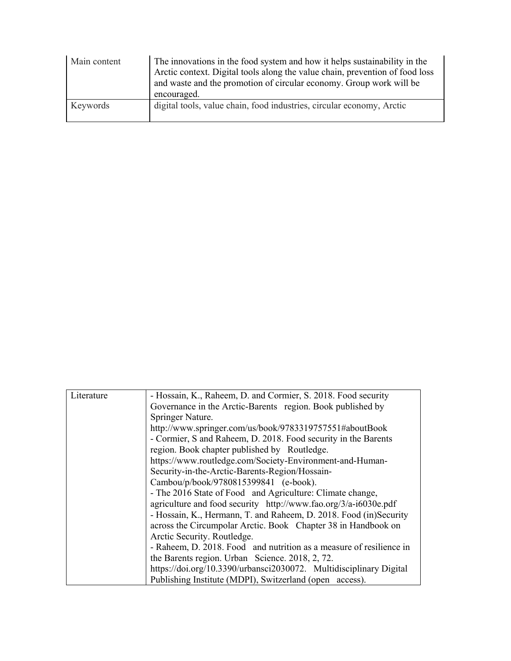| Main content | The innovations in the food system and how it helps sustainability in the<br>Arctic context. Digital tools along the value chain, prevention of food loss<br>and waste and the promotion of circular economy. Group work will be<br>encouraged. |
|--------------|-------------------------------------------------------------------------------------------------------------------------------------------------------------------------------------------------------------------------------------------------|
| Keywords     | digital tools, value chain, food industries, circular economy, Arctic                                                                                                                                                                           |

| Literature | - Hossain, K., Raheem, D. and Cormier, S. 2018. Food security       |
|------------|---------------------------------------------------------------------|
|            | Governance in the Arctic-Barents region. Book published by          |
|            | Springer Nature.                                                    |
|            | http://www.springer.com/us/book/9783319757551#aboutBook             |
|            | - Cormier, S and Raheem, D. 2018. Food security in the Barents      |
|            | region. Book chapter published by Routledge.                        |
|            | https://www.routledge.com/Society-Environment-and-Human-            |
|            | Security-in-the-Arctic-Barents-Region/Hossain-                      |
|            | Cambou/p/book/9780815399841 (e-book).                               |
|            | - The 2016 State of Food and Agriculture: Climate change,           |
|            | agriculture and food security http://www.fao.org/3/a-i6030e.pdf     |
|            | - Hossain, K., Hermann, T. and Raheem, D. 2018. Food (in)Security   |
|            | across the Circumpolar Arctic. Book Chapter 38 in Handbook on       |
|            | Arctic Security. Routledge.                                         |
|            | - Raheem, D. 2018. Food and nutrition as a measure of resilience in |
|            | the Barents region. Urban Science. 2018, 2, 72.                     |
|            | https://doi.org/10.3390/urbansci2030072. Multidisciplinary Digital  |
|            | Publishing Institute (MDPI), Switzerland (open access).             |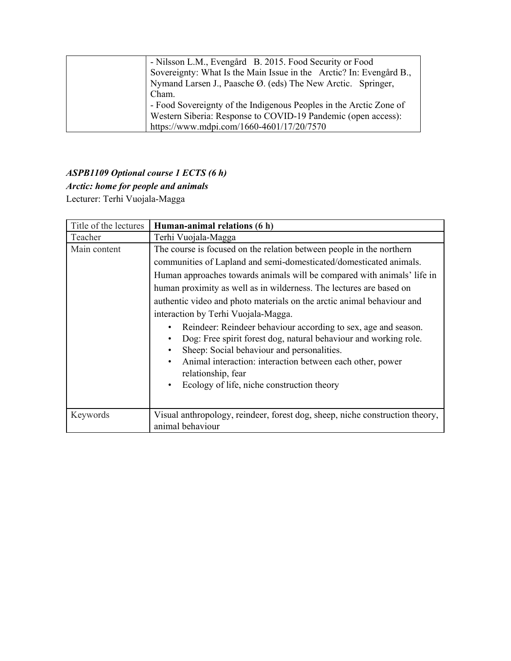| - Nilsson L.M., Evengård B. 2015. Food Security or Food             |
|---------------------------------------------------------------------|
| Sovereignty: What Is the Main Issue in the Arctic? In: Evengård B., |
| Nymand Larsen J., Paasche Ø. (eds) The New Arctic. Springer,        |
| Cham.                                                               |
| - Food Sovereignty of the Indigenous Peoples in the Arctic Zone of  |
| Western Siberia: Response to COVID-19 Pandemic (open access):       |
| https://www.mdpi.com/1660-4601/17/20/7570                           |

## *ASPB1109 Optional course 1 ECTS (6 h)*

## *Arctic: home for people and animals*

Lecturer: Terhi Vuojala-Magga

| Title of the lectures | Human-animal relations (6 h)                                                                                                                                                                                                                                                                                                                |
|-----------------------|---------------------------------------------------------------------------------------------------------------------------------------------------------------------------------------------------------------------------------------------------------------------------------------------------------------------------------------------|
| Teacher               | Terhi Vuojala-Magga                                                                                                                                                                                                                                                                                                                         |
| Main content          | The course is focused on the relation between people in the northern                                                                                                                                                                                                                                                                        |
|                       | communities of Lapland and semi-domesticated/domesticated animals.                                                                                                                                                                                                                                                                          |
|                       | Human approaches towards animals will be compared with animals' life in                                                                                                                                                                                                                                                                     |
|                       | human proximity as well as in wilderness. The lectures are based on                                                                                                                                                                                                                                                                         |
|                       | authentic video and photo materials on the arctic animal behaviour and                                                                                                                                                                                                                                                                      |
|                       | interaction by Terhi Vuojala-Magga.                                                                                                                                                                                                                                                                                                         |
|                       | Reindeer: Reindeer behaviour according to sex, age and season.<br>Dog: Free spirit forest dog, natural behaviour and working role.<br>Sheep: Social behaviour and personalities.<br>Animal interaction: interaction between each other, power<br>$\bullet$<br>relationship, fear<br>Ecology of life, niche construction theory<br>$\bullet$ |
| Keywords              | Visual anthropology, reindeer, forest dog, sheep, niche construction theory,<br>animal behaviour                                                                                                                                                                                                                                            |